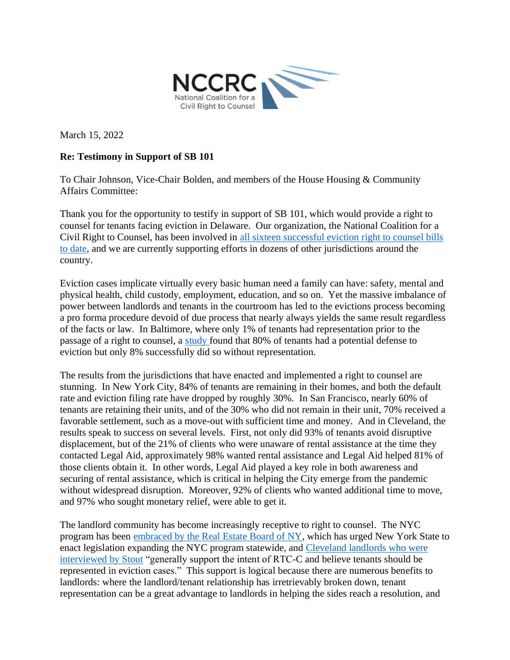

March 15, 2022

## **Re: Testimony in Support of SB 101**

To Chair Johnson, Vice-Chair Bolden, and members of the House Housing & Community Affairs Committee:

Thank you for the opportunity to testify in support of SB 101, which would provide a right to counsel for tenants facing eviction in Delaware. Our organization, the National Coalition for a Civil Right to Counsel, has been involved in [all sixteen successful eviction right to counsel bills](http://civilrighttocounsel.org/uploaded_files/283/RTC_Enacted_Legislation_in_Eviction_Proceedings_FINAL.pdf)  [to date,](http://civilrighttocounsel.org/uploaded_files/283/RTC_Enacted_Legislation_in_Eviction_Proceedings_FINAL.pdf) and we are currently supporting efforts in dozens of other jurisdictions around the country.

Eviction cases implicate virtually every basic human need a family can have: safety, mental and physical health, child custody, employment, education, and so on. Yet the massive imbalance of power between landlords and tenants in the courtroom has led to the evictions process becoming a pro forma procedure devoid of due process that nearly always yields the same result regardless of the facts or law. In Baltimore, where only 1% of tenants had representation prior to the passage of a right to counsel, a [study f](https://abell.org/publications/justice-diverted-how-renters-are-processed-baltimore-city-rent-court)ound that 80% of tenants had a potential defense to eviction but only 8% successfully did so without representation.

The results from the jurisdictions that have enacted and implemented a right to counsel are stunning. In New York City, 84% of tenants are remaining in their homes, and both the default rate and eviction filing rate have dropped by roughly 30%. In San Francisco, nearly 60% of tenants are retaining their units, and of the 30% who did not remain in their unit, 70% received a favorable settlement, such as a move-out with sufficient time and money. And in Cleveland, the results speak to success on several levels. First, not only did 93% of tenants avoid disruptive displacement, but of the 21% of clients who were unaware of rental assistance at the time they contacted Legal Aid, approximately 98% wanted rental assistance and Legal Aid helped 81% of those clients obtain it. In other words, Legal Aid played a key role in both awareness and securing of rental assistance, which is critical in helping the City emerge from the pandemic without widespread disruption. Moreover, 92% of clients who wanted additional time to move, and 97% who sought monetary relief, were able to get it.

The landlord community has become increasingly receptive to right to counsel. The NYC program has been [embraced by the Real Estate Board of NY,](https://nam11.safelinks.protection.outlook.com/?url=https%3A%2F%2Furldefense.proofpoint.com%2Fv2%2Furl%3Fu%3Dhttps-3A__www.nysenate.gov_sites_default_files_rebny-5Fto-5Fnys-5Fsenate-5Fre-5Fgood-5Fcause-5Ftestimony-5Fdigital-5Fsubmission.pdf%26d%3DDwMGaQ%26c%3DeuGZstcaTDllvimEN8b7jXrwqOf-v5A_CdpgnVfiiMM%26r%3DfBul4gG-o-kvjDJXckN0SEFZ1PoYG6dYnfVj6oz3RSI%26m%3DM15g3zXXcye1y9_9gA8TQ4NyU5IMDAe3LPj7jFxYYys%26s%3D0u8hqTG4E2_JU5uVsjU7d44pQclAMPx5h445eY9vWQg%26e%3D&data=04%7C01%7Cjpollock%40publicjustice.org%7C4121321104b24b42793e08da068a994f%7C6f7720f5ee0243238f4104395164ed6d%7C0%7C0%7C637829490038461057%7CUnknown%7CTWFpbGZsb3d8eyJWIjoiMC4wLjAwMDAiLCJQIjoiV2luMzIiLCJBTiI6Ik1haWwiLCJXVCI6Mn0%3D%7C3000&sdata=wLwhWyloYYXzQalk856qQslY92r5OKXgg9QGkqeGkF0%3D&reserved=0) which has urged New York State to enact legislation expanding the NYC program statewide, and [Cleveland landlords who were](https://nam11.safelinks.protection.outlook.com/?url=https%3A%2F%2Furldefense.proofpoint.com%2Fv2%2Furl%3Fu%3Dhttps-3A__freeevictionhelpresults.org_wp-2Dcontent_uploads_2022_01_Stouts-2D2021-2DIndependent-2DEvaluation-2Dof-2DRTC-2DC-5FFINAL-5F1.31.22.pdf%26d%3DDwMGaQ%26c%3DeuGZstcaTDllvimEN8b7jXrwqOf-v5A_CdpgnVfiiMM%26r%3DfBul4gG-o-kvjDJXckN0SEFZ1PoYG6dYnfVj6oz3RSI%26m%3DM15g3zXXcye1y9_9gA8TQ4NyU5IMDAe3LPj7jFxYYys%26s%3DxdZ8y3_x4GrlM_4He3w1jS-63e1ggX5jpS7nClwdSF4%26e%3D&data=04%7C01%7Cjpollock%40publicjustice.org%7C4121321104b24b42793e08da068a994f%7C6f7720f5ee0243238f4104395164ed6d%7C0%7C0%7C637829490038461057%7CUnknown%7CTWFpbGZsb3d8eyJWIjoiMC4wLjAwMDAiLCJQIjoiV2luMzIiLCJBTiI6Ik1haWwiLCJXVCI6Mn0%3D%7C3000&sdata=0yr19uCKtDC9GJaGmC1GBJng8lLJ0G1MHKEuO0VptN0%3D&reserved=0)  [interviewed by Stout](https://nam11.safelinks.protection.outlook.com/?url=https%3A%2F%2Furldefense.proofpoint.com%2Fv2%2Furl%3Fu%3Dhttps-3A__freeevictionhelpresults.org_wp-2Dcontent_uploads_2022_01_Stouts-2D2021-2DIndependent-2DEvaluation-2Dof-2DRTC-2DC-5FFINAL-5F1.31.22.pdf%26d%3DDwMGaQ%26c%3DeuGZstcaTDllvimEN8b7jXrwqOf-v5A_CdpgnVfiiMM%26r%3DfBul4gG-o-kvjDJXckN0SEFZ1PoYG6dYnfVj6oz3RSI%26m%3DM15g3zXXcye1y9_9gA8TQ4NyU5IMDAe3LPj7jFxYYys%26s%3DxdZ8y3_x4GrlM_4He3w1jS-63e1ggX5jpS7nClwdSF4%26e%3D&data=04%7C01%7Cjpollock%40publicjustice.org%7C4121321104b24b42793e08da068a994f%7C6f7720f5ee0243238f4104395164ed6d%7C0%7C0%7C637829490038461057%7CUnknown%7CTWFpbGZsb3d8eyJWIjoiMC4wLjAwMDAiLCJQIjoiV2luMzIiLCJBTiI6Ik1haWwiLCJXVCI6Mn0%3D%7C3000&sdata=0yr19uCKtDC9GJaGmC1GBJng8lLJ0G1MHKEuO0VptN0%3D&reserved=0) "generally support the intent of RTC-C and believe tenants should be represented in eviction cases." This support is logical because there are numerous benefits to landlords: where the landlord/tenant relationship has irretrievably broken down, tenant representation can be a great advantage to landlords in helping the sides reach a resolution, and